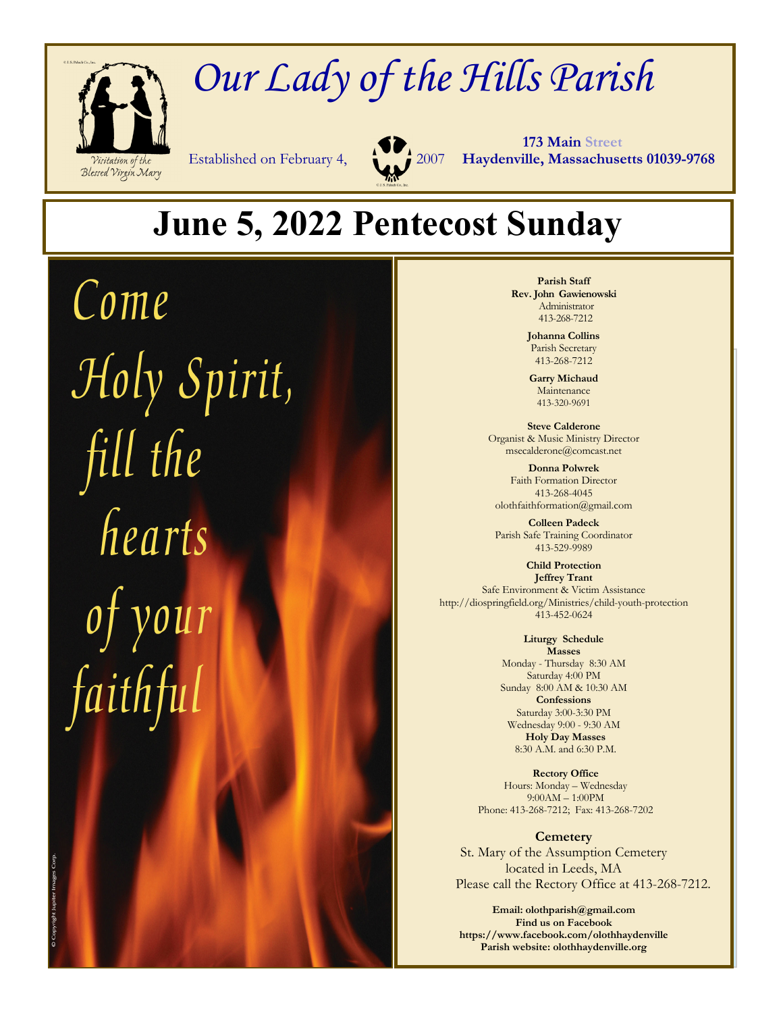

# *Our Lady of the Hills Parish*



 **173 Main Street** Established on February 4, 2007 **Haydenville, Massachusetts 01039-9768**

## **June 5, 2022 Pentecost Sunday**

Come Holy Spirit, fill the<br>hearts

**Parish Staff Rev. John Gawienowski** Administrator 413-268-7212

> **Johanna Collins**  Parish Secretary 413-268-7212

**Garry Michaud**  Maintenance 413-320-9691

**Steve Calderone**  Organist & Music Ministry Director msecalderone@comcast.net

**Donna Polwrek**  Faith Formation Director 413-268-4045 olothfaithformation@gmail.com

**Colleen Padeck**  Parish Safe Training Coordinator 413-529-9989

**Child Protection Jeffrey Trant**  Safe Environment & Victim Assistance http://diospringfield.org/Ministries/child-youth-protection 413-452-0624

> **Liturgy Schedule Masses**  Monday - Thursday 8:30 AM Saturday 4:00 PM Sunday 8:00 AM & 10:30 AM **Confessions**  Saturday 3:00-3:30 PM Wednesday 9:00 - 9:30 AM **Holy Day Masses**  8:30 A.M. and 6:30 P.M.

**Rectory Office**  Hours: Monday – Wednesday 9:00AM – 1:00PM Phone: 413-268-7212; Fax: 413-268-7202

**Cemetery**  St. Mary of the Assumption Cemetery located in Leeds, MA Please call the Rectory Office at 413-268-7212.

**Email: olothparish@gmail.com Find us on Facebook https://www.facebook.com/olothhaydenville Parish website: olothhaydenville.org**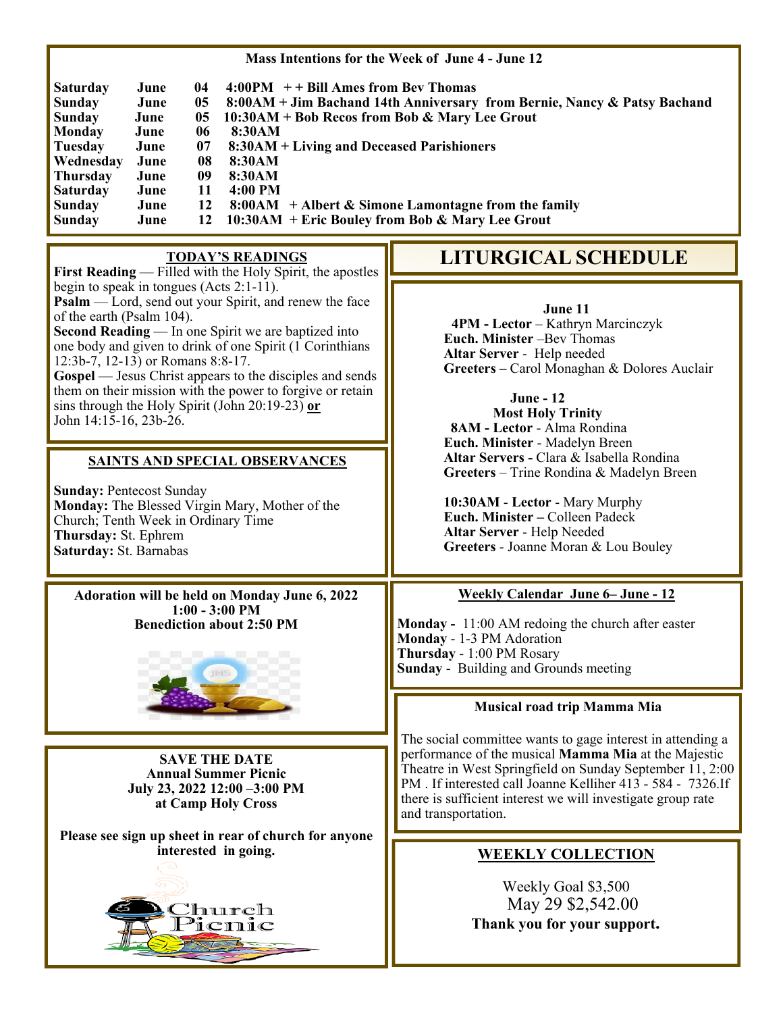| Mass Intentions for the Week of June 4 - June 12                                                                                                                                                                                                                                                                                                                                                                                                                                                                                                                                                                                                                                                                               |                                                                                                                                                                                                                                                                                                                                                                                                                                                                                                             |
|--------------------------------------------------------------------------------------------------------------------------------------------------------------------------------------------------------------------------------------------------------------------------------------------------------------------------------------------------------------------------------------------------------------------------------------------------------------------------------------------------------------------------------------------------------------------------------------------------------------------------------------------------------------------------------------------------------------------------------|-------------------------------------------------------------------------------------------------------------------------------------------------------------------------------------------------------------------------------------------------------------------------------------------------------------------------------------------------------------------------------------------------------------------------------------------------------------------------------------------------------------|
| $4:00PM$ + + Bill Ames from Bev Thomas<br>Saturday<br>June<br>04<br>8:00AM + Jim Bachand 14th Anniversary from Bernie, Nancy & Patsy Bachand<br><b>Sunday</b><br>June<br>05<br>10:30AM + Bob Recos from Bob & Mary Lee Grout<br><b>Sunday</b><br>June<br>05<br><b>Monday</b><br>06<br>8:30AM<br>June<br><b>Tuesday</b><br>07<br>8:30AM + Living and Deceased Parishioners<br>June<br>Wednesday<br>08<br>June<br>8:30AM<br><b>Thursday</b><br>09<br>8:30AM<br>June<br><b>Saturday</b><br>June<br>11<br>4:00 PM<br>12<br>$8:00AM +$ Albert & Simone Lamontagne from the family<br><b>Sunday</b><br>June<br>10:30AM + Eric Bouley from Bob & Mary Lee Grout<br>12<br>Sunday<br>June                                               |                                                                                                                                                                                                                                                                                                                                                                                                                                                                                                             |
| <b>TODAY'S READINGS</b><br>First Reading — Filled with the Holy Spirit, the apostles                                                                                                                                                                                                                                                                                                                                                                                                                                                                                                                                                                                                                                           | <b>LITURGICAL SCHEDULE</b>                                                                                                                                                                                                                                                                                                                                                                                                                                                                                  |
| begin to speak in tongues (Acts $2:1-11$ ).<br>Psalm — Lord, send out your Spirit, and renew the face<br>of the earth (Psalm 104).<br>Second Reading — In one Spirit we are baptized into<br>one body and given to drink of one Spirit (1 Corinthians<br>12:3b-7, 12-13) or Romans 8:8-17.<br><b>Gospel</b> — Jesus Christ appears to the disciples and sends<br>them on their mission with the power to forgive or retain<br>sins through the Holy Spirit (John 20:19-23) or<br>John 14:15-16, 23b-26.<br><b>SAINTS AND SPECIAL OBSERVANCES</b><br><b>Sunday: Pentecost Sunday</b><br>Monday: The Blessed Virgin Mary, Mother of the<br>Church; Tenth Week in Ordinary Time<br>Thursday: St. Ephrem<br>Saturday: St. Barnabas | June 11<br>4PM - Lector - Kathryn Marcinczyk<br>Euch. Minister -Bev Thomas<br>Altar Server - Help needed<br>Greeters - Carol Monaghan & Dolores Auclair<br><b>June - 12</b><br><b>Most Holy Trinity</b><br>8AM - Lector - Alma Rondina<br>Euch. Minister - Madelyn Breen<br>Altar Servers - Clara & Isabella Rondina<br>Greeters - Trine Rondina & Madelyn Breen<br>10:30AM - Lector - Mary Murphy<br>Euch. Minister - Colleen Padeck<br>Altar Server - Help Needed<br>Greeters - Joanne Moran & Lou Bouley |
| Adoration will be held on Monday June 6, 2022<br>$1:00 - 3:00$ PM<br><b>Benediction about 2:50 PM</b>                                                                                                                                                                                                                                                                                                                                                                                                                                                                                                                                                                                                                          | <b>Weekly Calendar June 6– June - 12</b><br>Monday - 11:00 AM redoing the church after easter<br>Monday - 1-3 PM Adoration<br>Thursday - 1:00 PM Rosary<br>Sunday - Building and Grounds meeting                                                                                                                                                                                                                                                                                                            |
|                                                                                                                                                                                                                                                                                                                                                                                                                                                                                                                                                                                                                                                                                                                                | Musical road trip Mamma Mia                                                                                                                                                                                                                                                                                                                                                                                                                                                                                 |
| <b>SAVE THE DATE</b><br><b>Annual Summer Picnic</b><br>July 23, 2022 12:00 -3:00 PM<br>at Camp Holy Cross                                                                                                                                                                                                                                                                                                                                                                                                                                                                                                                                                                                                                      | The social committee wants to gage interest in attending a<br>performance of the musical Mamma Mia at the Majestic<br>Theatre in West Springfield on Sunday September 11, 2:00<br>PM . If interested call Joanne Kelliher 413 - 584 - 7326.If<br>there is sufficient interest we will investigate group rate<br>and transportation.                                                                                                                                                                         |
| Please see sign up sheet in rear of church for anyone<br>interested in going.<br><u>'</u> hurch<br><sup>9</sup> icnic                                                                                                                                                                                                                                                                                                                                                                                                                                                                                                                                                                                                          | <b>WEEKLY COLLECTION</b><br>Weekly Goal \$3,500<br>May 29 \$2,542.00<br>Thank you for your support.                                                                                                                                                                                                                                                                                                                                                                                                         |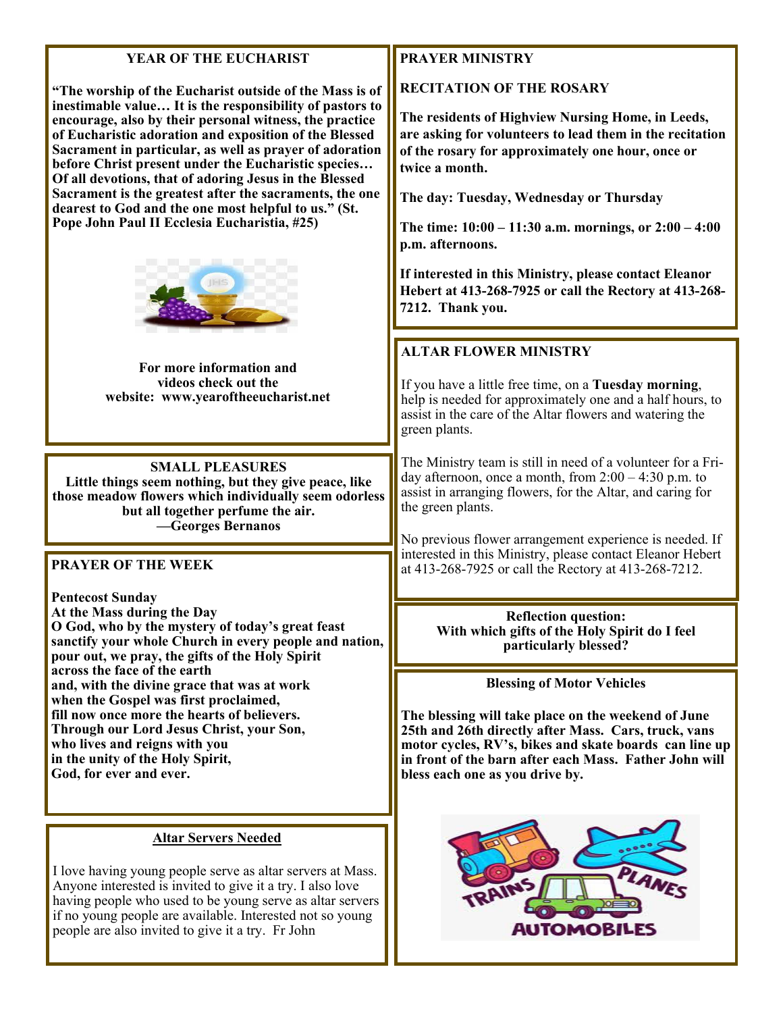#### **YEAR OF THE EUCHARIST**

**"The worship of the Eucharist outside of the Mass is of inestimable value… It is the responsibility of pastors to encourage, also by their personal witness, the practice of Eucharistic adoration and exposition of the Blessed Sacrament in particular, as well as prayer of adoration before Christ present under the Eucharistic species… Of all devotions, that of adoring Jesus in the Blessed Sacrament is the greatest after the sacraments, the one dearest to God and the one most helpful to us." (St. Pope John Paul II Ecclesia Eucharistia, #25)** 



**For more information and videos check out the website: www.yearoftheeucharist.net** 

**SMALL PLEASURES Little things seem nothing, but they give peace, like those meadow flowers which individually seem odorless but all together perfume the air. —Georges Bernanos** 

#### **PRAYER OF THE WEEK**

**Pentecost Sunday At the Mass during the Day O God, who by the mystery of today's great feast sanctify your whole Church in every people and nation, pour out, we pray, the gifts of the Holy Spirit across the face of the earth and, with the divine grace that was at work when the Gospel was first proclaimed, fill now once more the hearts of believers. Through our Lord Jesus Christ, your Son, who lives and reigns with you in the unity of the Holy Spirit, God, for ever and ever.** 

#### **Altar Servers Needed**

I love having young people serve as altar servers at Mass. Anyone interested is invited to give it a try. I also love having people who used to be young serve as altar servers if no young people are available. Interested not so young people are also invited to give it a try. Fr John

#### **PRAYER MINISTRY**

**RECITATION OF THE ROSARY** 

**The residents of Highview Nursing Home, in Leeds, are asking for volunteers to lead them in the recitation of the rosary for approximately one hour, once or twice a month.** 

**The day: Tuesday, Wednesday or Thursday** 

**The time: 10:00 – 11:30 a.m. mornings, or 2:00 – 4:00 p.m. afternoons.** 

**If interested in this Ministry, please contact Eleanor Hebert at 413-268-7925 or call the Rectory at 413-268- 7212. Thank you.** 

### **ALTAR FLOWER MINISTRY**

If you have a little free time, on a **Tuesday morning**, help is needed for approximately one and a half hours, to assist in the care of the Altar flowers and watering the green plants.

The Ministry team is still in need of a volunteer for a Friday afternoon, once a month, from  $2:00 - 4:30$  p.m. to assist in arranging flowers, for the Altar, and caring for the green plants.

No previous flower arrangement experience is needed. If interested in this Ministry, please contact Eleanor Hebert at 413-268-7925 or call the Rectory at 413-268-7212.

> **Reflection question: With which gifts of the Holy Spirit do I feel particularly blessed?**

> > **Blessing of Motor Vehicles**

**The blessing will take place on the weekend of June 25th and 26th directly after Mass. Cars, truck, vans motor cycles, RV's, bikes and skate boards can line up in front of the barn after each Mass. Father John will bless each one as you drive by.**